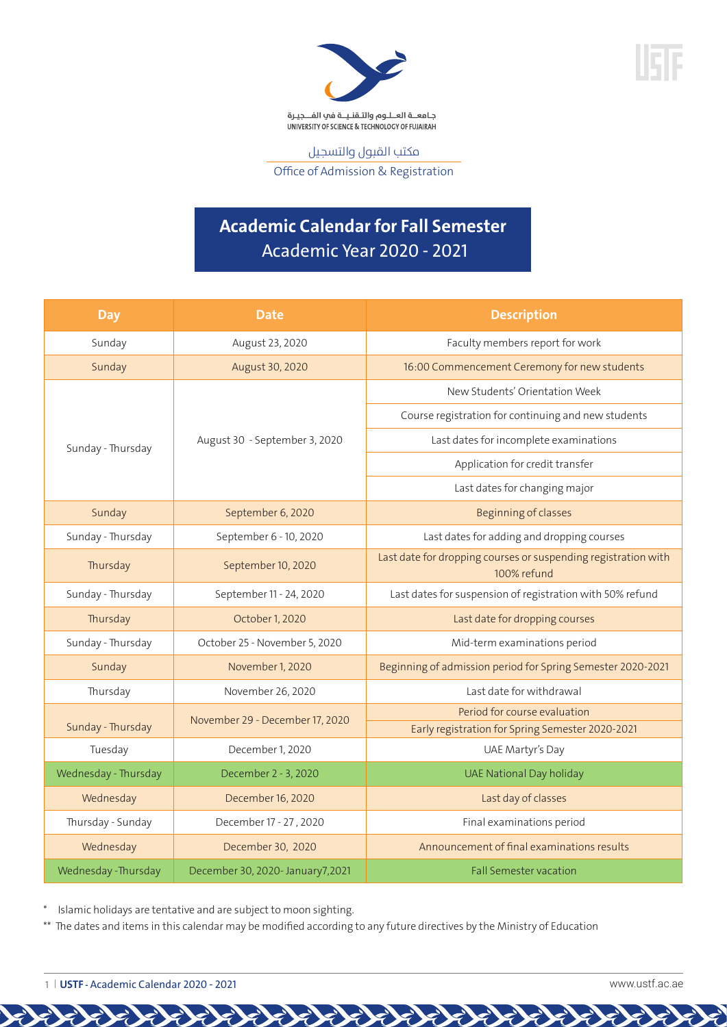



مكتب القبول والتسجيل Office of Admission & Registration

# **Academic Calendar for Fall Semester** Academic Year 2020 - 2021

| <b>Day</b>           | <b>Date</b>                      | <b>Description</b>                                                            |
|----------------------|----------------------------------|-------------------------------------------------------------------------------|
| Sunday               | August 23, 2020                  | Faculty members report for work                                               |
| Sunday               | August 30, 2020                  | 16:00 Commencement Ceremony for new students                                  |
| Sunday - Thursday    | August 30 - September 3, 2020    | New Students' Orientation Week                                                |
|                      |                                  | Course registration for continuing and new students                           |
|                      |                                  | Last dates for incomplete examinations                                        |
|                      |                                  | Application for credit transfer                                               |
|                      |                                  | Last dates for changing major                                                 |
| Sunday               | September 6, 2020                | <b>Beginning of classes</b>                                                   |
| Sunday - Thursday    | September 6 - 10, 2020           | Last dates for adding and dropping courses                                    |
| Thursday             | September 10, 2020               | Last date for dropping courses or suspending registration with<br>100% refund |
| Sunday - Thursday    | September 11 - 24, 2020          | Last dates for suspension of registration with 50% refund                     |
| Thursday             | October 1, 2020                  | Last date for dropping courses                                                |
| Sunday - Thursday    | October 25 - November 5, 2020    | Mid-term examinations period                                                  |
| Sunday               | November 1, 2020                 | Beginning of admission period for Spring Semester 2020-2021                   |
| Thursday             | November 26, 2020                | Last date for withdrawal                                                      |
|                      | November 29 - December 17, 2020  | Period for course evaluation                                                  |
| Sunday - Thursday    |                                  | Early registration for Spring Semester 2020-2021                              |
| Tuesday              | December 1, 2020                 | UAE Martyr's Day                                                              |
| Wednesday - Thursday | December 2 - 3, 2020             | <b>UAE National Day holiday</b>                                               |
| Wednesday            | December 16, 2020                | Last day of classes                                                           |
| Thursday - Sunday    | December 17 - 27, 2020           | Final examinations period                                                     |
| Wednesday            | December 30, 2020                | Announcement of final examinations results                                    |
| Wednesday - Thursday | December 30, 2020- January7,2021 | <b>Fall Semester vacation</b>                                                 |

\* Islamic holidays are tentative and are subject to moon sighting.

\*\* The dates and items in this calendar may be modified according to any future directives by the Ministry of Education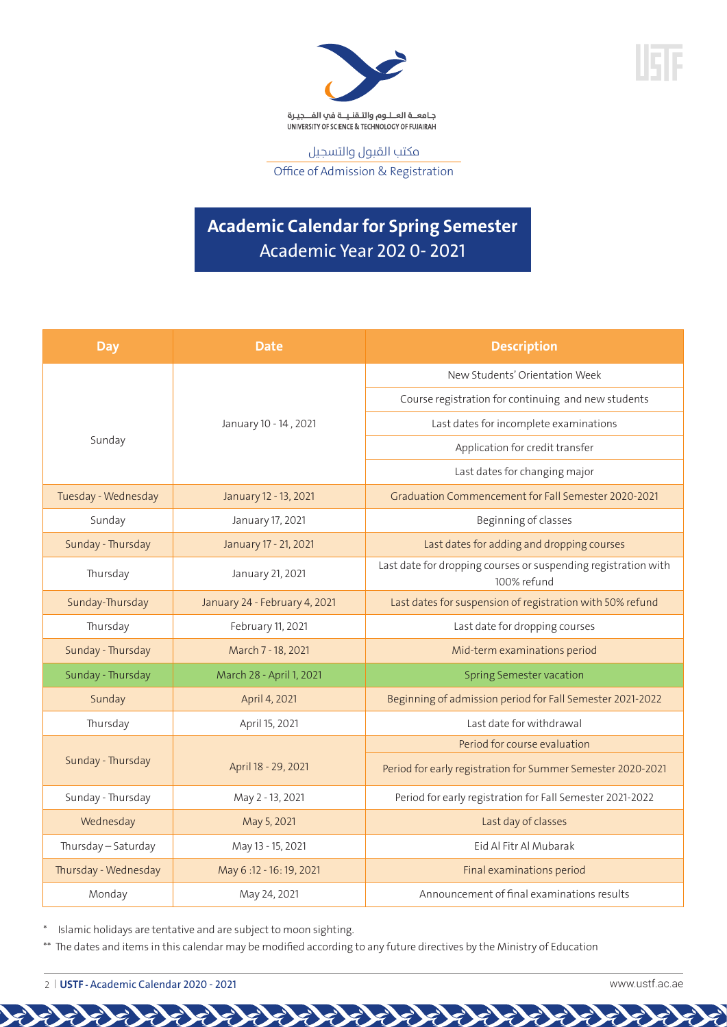

مكتب القبول والتسجيل Office of Admission & Registration

## **Academic Calendar for Spring Semester** Academic Year 202 0- 2021

| <b>Day</b>           | <b>Date</b>                   | <b>Description</b>                                                            |
|----------------------|-------------------------------|-------------------------------------------------------------------------------|
|                      |                               | New Students' Orientation Week                                                |
|                      |                               | Course registration for continuing and new students                           |
|                      | January 10 - 14, 2021         | Last dates for incomplete examinations                                        |
| Sunday               |                               | Application for credit transfer                                               |
|                      |                               | Last dates for changing major                                                 |
| Tuesday - Wednesday  | January 12 - 13, 2021         | Graduation Commencement for Fall Semester 2020-2021                           |
| Sunday               | January 17, 2021              | Beginning of classes                                                          |
| Sunday - Thursday    | January 17 - 21, 2021         | Last dates for adding and dropping courses                                    |
| Thursday             | January 21, 2021              | Last date for dropping courses or suspending registration with<br>100% refund |
| Sunday-Thursday      | January 24 - February 4, 2021 | Last dates for suspension of registration with 50% refund                     |
| Thursday             | February 11, 2021             | Last date for dropping courses                                                |
| Sunday - Thursday    | March 7 - 18, 2021            | Mid-term examinations period                                                  |
| Sunday - Thursday    | March 28 - April 1, 2021      | <b>Spring Semester vacation</b>                                               |
| Sunday               | April 4, 2021                 | Beginning of admission period for Fall Semester 2021-2022                     |
| Thursday             | April 15, 2021                | Last date for withdrawal                                                      |
| Sunday - Thursday    | April 18 - 29, 2021           | Period for course evaluation                                                  |
|                      |                               | Period for early registration for Summer Semester 2020-2021                   |
| Sunday - Thursday    | May 2 - 13, 2021              | Period for early registration for Fall Semester 2021-2022                     |
| Wednesday            | May 5, 2021                   | Last day of classes                                                           |
| Thursday - Saturday  | May 13 - 15, 2021             | Eid Al Fitr Al Mubarak                                                        |
| Thursday - Wednesday | May 6:12 - 16:19, 2021        | Final examinations period                                                     |
| Monday               | May 24, 2021                  | Announcement of final examinations results                                    |

\* Islamic holidays are tentative and are subject to moon sighting.

\*\* The dates and items in this calendar may be modified according to any future directives by the Ministry of Education